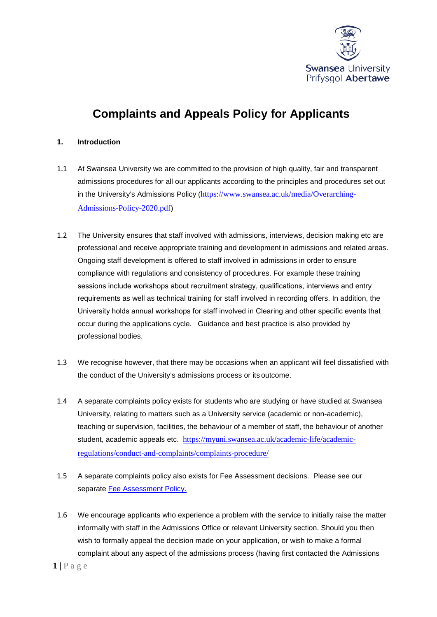

# **Complaints and Appeals Policy for Applicants**

# **1. Introduction**

- 1.1 At Swansea University we are committed to the provision of high quality, fair and transparent admissions procedures for all our applicants according to the principles and procedures set out in the University's Admissions Policy ([https://www.swansea.ac.uk/media/Overarching-](https://www.swansea.ac.uk/media/Overarching-Admissions-Policy-2020.pdf)[Admissions-Policy-2020.pdf](https://www.swansea.ac.uk/media/Overarching-Admissions-Policy-2020.pdf))
- 1.2 The University ensures that staff involved with admissions, interviews, decision making etc are professional and receive appropriate training and development in admissions and related areas. Ongoing staff development is offered to staff involved in admissions in order to ensure compliance with regulations and consistency of procedures. For example these training sessions include workshops about recruitment strategy, qualifications, interviews and entry requirements as well as technical training for staff involved in recording offers. In addition, the University holds annual workshops for staff involved in Clearing and other specific events that occur during the applications cycle. Guidance and best practice is also provided by professional bodies.
- 1.3 We recognise however, that there may be occasions when an applicant will feel dissatisfied with the conduct of the University's admissions process or its outcome.
- 1.4 A separate complaints policy exists for students who are studying or have studied at Swansea University, relating to matters such as a University service (academic or non-academic), teaching or supervision, facilities, the behaviour of a member of staff, the behaviour of another student, academic appeals etc. [https://myuni.swansea.ac.uk/academic-life/academic](https://myuni.swansea.ac.uk/academic-life/academic-regulations/conduct-and-complaints/complaints-procedure/)[regulations/conduct-and-complaints/complaints-procedure/](https://myuni.swansea.ac.uk/academic-life/academic-regulations/conduct-and-complaints/complaints-procedure/)
- 1.5 A separate complaints policy also exists for Fee Assessment decisions. Please see our separate [Fee Assessment Policy.](https://www.swansea.ac.uk/media/fee-assessment-policy.pdf)
- 1.6 We encourage applicants who experience a problem with the service to initially raise the matter informally with staff in the Admissions Office or relevant University section. Should you then wish to formally appeal the decision made on your application, or wish to make a formal complaint about any aspect of the admissions process (having first contacted the Admissions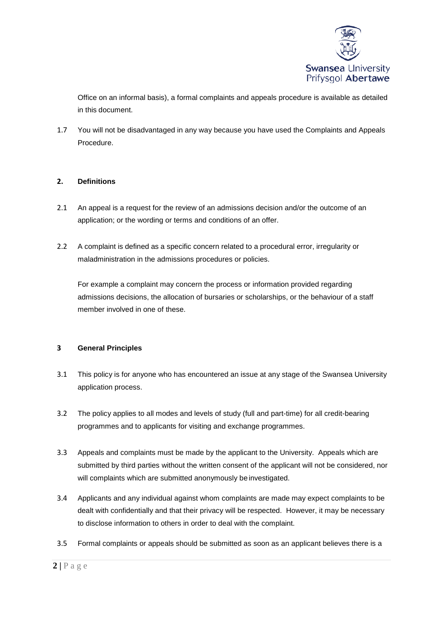

Office on an informal basis), a formal complaints and appeals procedure is available as detailed in this document.

1.7 You will not be disadvantaged in any way because you have used the Complaints and Appeals Procedure.

# **2. Definitions**

- 2.1 An appeal is a request for the review of an admissions decision and/or the outcome of an application; or the wording or terms and conditions of an offer.
- 2.2 A complaint is defined as a specific concern related to a procedural error, irregularity or maladministration in the admissions procedures or policies.

For example a complaint may concern the process or information provided regarding admissions decisions, the allocation of bursaries or scholarships, or the behaviour of a staff member involved in one of these.

### **3 General Principles**

- 3.1 This policy is for anyone who has encountered an issue at any stage of the Swansea University application process.
- 3.2 The policy applies to all modes and levels of study (full and part-time) for all credit-bearing programmes and to applicants for visiting and exchange programmes.
- 3.3 Appeals and complaints must be made by the applicant to the University. Appeals which are submitted by third parties without the written consent of the applicant will not be considered, nor will complaints which are submitted anonymously be investigated.
- 3.4 Applicants and any individual against whom complaints are made may expect complaints to be dealt with confidentially and that their privacy will be respected. However, it may be necessary to disclose information to others in order to deal with the complaint.
- 3.5 Formal complaints or appeals should be submitted as soon as an applicant believes there is a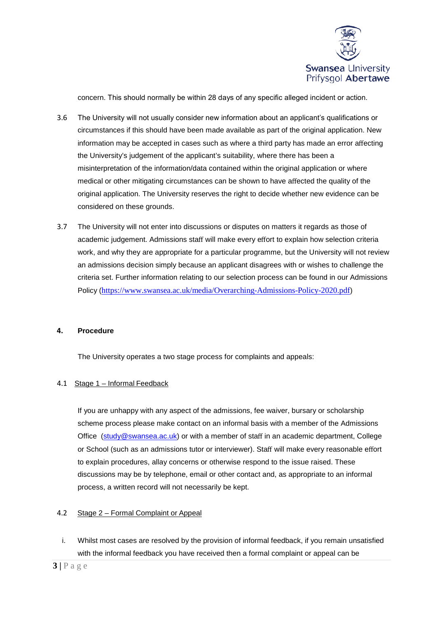

concern. This should normally be within 28 days of any specific alleged incident or action.

- 3.6 The University will not usually consider new information about an applicant's qualifications or circumstances if this should have been made available as part of the original application. New information may be accepted in cases such as where a third party has made an error affecting the University's judgement of the applicant's suitability, where there has been a misinterpretation of the information/data contained within the original application or where medical or other mitigating circumstances can be shown to have affected the quality of the original application. The University reserves the right to decide whether new evidence can be considered on these grounds.
- 3.7 The University will not enter into discussions or disputes on matters it regards as those of academic judgement. Admissions staff will make every effort to explain how selection criteria work, and why they are appropriate for a particular programme, but the University will not review an admissions decision simply because an applicant disagrees with or wishes to challenge the criteria set. Further information relating to our selection process can be found in our Admissions Policy (<https://www.swansea.ac.uk/media/Overarching-Admissions-Policy-2020.pdf>)

### **4. Procedure**

The University operates a two stage process for complaints and appeals:

### 4.1 Stage 1 – Informal Feedback

If you are unhappy with any aspect of the admissions, fee waiver, bursary or scholarship scheme process please make contact on an informal basis with a member of the Admissions Office [\(study@swansea.ac.uk\)](mailto:study@swansea.ac.uk) or with a member of staff in an academic department, College or School (such as an admissions tutor or interviewer). Staff will make every reasonable effort to explain procedures, allay concerns or otherwise respond to the issue raised. These discussions may be by telephone, email or other contact and, as appropriate to an informal process, a written record will not necessarily be kept.

## 4.2 Stage 2 – Formal Complaint or Appeal

i. Whilst most cases are resolved by the provision of informal feedback, if you remain unsatisfied with the informal feedback you have received then a formal complaint or appeal can be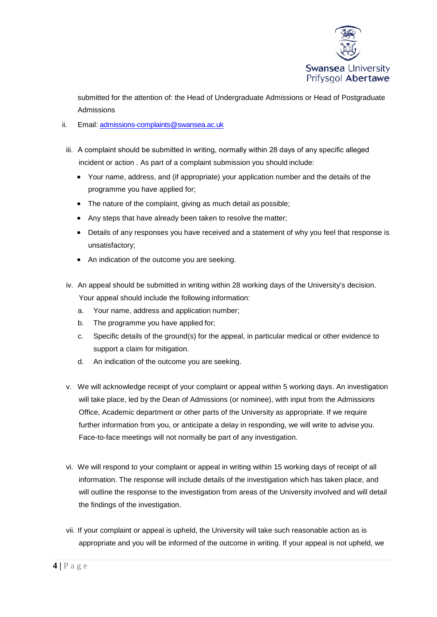

submitted for the attention of: the Head of Undergraduate Admissions or Head of Postgraduate Admissions

- ii. Email: [admissions-complaints@swansea.ac.uk](mailto:admissions-complaints@swansea.ac.uk)
	- iii. A complaint should be submitted in writing, normally within 28 days of any specific alleged incident or action . As part of a complaint submission you should include:
		- Your name, address, and (if appropriate) your application number and the details of the programme you have applied for;
		- The nature of the complaint, giving as much detail as possible;
		- Any steps that have already been taken to resolve the matter;
		- Details of any responses you have received and a statement of why you feel that response is unsatisfactory;
		- An indication of the outcome you are seeking.
	- iv. An appeal should be submitted in writing within 28 working days of the University's decision. Your appeal should include the following information:
		- a. Your name, address and application number;
		- b. The programme you have applied for;
		- c. Specific details of the ground(s) for the appeal, in particular medical or other evidence to support a claim for mitigation.
		- d. An indication of the outcome you are seeking.
	- v. We will acknowledge receipt of your complaint or appeal within 5 working days. An investigation will take place, led by the Dean of Admissions (or nominee), with input from the Admissions Office, Academic department or other parts of the University as appropriate. If we require further information from you, or anticipate a delay in responding, we will write to advise you. Face-to-face meetings will not normally be part of any investigation.
	- vi. We will respond to your complaint or appeal in writing within 15 working days of receipt of all information. The response will include details of the investigation which has taken place, and will outline the response to the investigation from areas of the University involved and will detail the findings of the investigation.
	- vii. If your complaint or appeal is upheld, the University will take such reasonable action as is appropriate and you will be informed of the outcome in writing. If your appeal is not upheld, we